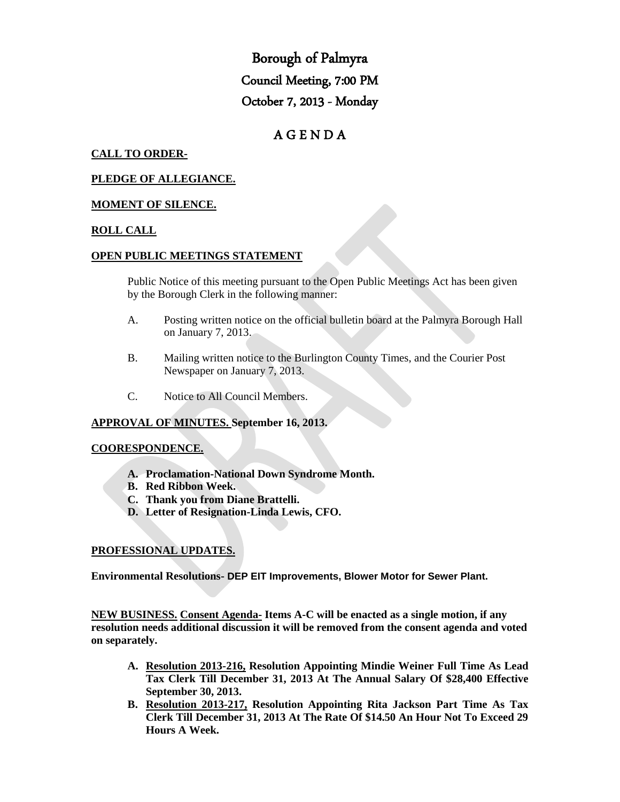Borough of Palmyra Council Meeting, 7:00 PM October 7, 2013 - Monday

# A G E N D A

## **CALL TO ORDER-**

### **PLEDGE OF ALLEGIANCE.**

### **MOMENT OF SILENCE.**

### **ROLL CALL**

### **OPEN PUBLIC MEETINGS STATEMENT**

Public Notice of this meeting pursuant to the Open Public Meetings Act has been given by the Borough Clerk in the following manner:

- A. Posting written notice on the official bulletin board at the Palmyra Borough Hall on January 7, 2013.
- B. Mailing written notice to the Burlington County Times, and the Courier Post Newspaper on January 7, 2013.
- C. Notice to All Council Members.

## **APPROVAL OF MINUTES. September 16, 2013.**

#### **COORESPONDENCE.**

- **A. Proclamation-National Down Syndrome Month.**
- **B. Red Ribbon Week.**
- **C. Thank you from Diane Brattelli.**
- **D. Letter of Resignation-Linda Lewis, CFO.**

### **PROFESSIONAL UPDATES.**

**Environmental Resolutions- DEP EIT Improvements, Blower Motor for Sewer Plant.**

**NEW BUSINESS. Consent Agenda- Items A-C will be enacted as a single motion, if any resolution needs additional discussion it will be removed from the consent agenda and voted on separately.**

- **A. Resolution 2013-216, Resolution Appointing Mindie Weiner Full Time As Lead Tax Clerk Till December 31, 2013 At The Annual Salary Of \$28,400 Effective September 30, 2013.**
- **B. Resolution 2013-217, Resolution Appointing Rita Jackson Part Time As Tax Clerk Till December 31, 2013 At The Rate Of \$14.50 An Hour Not To Exceed 29 Hours A Week.**